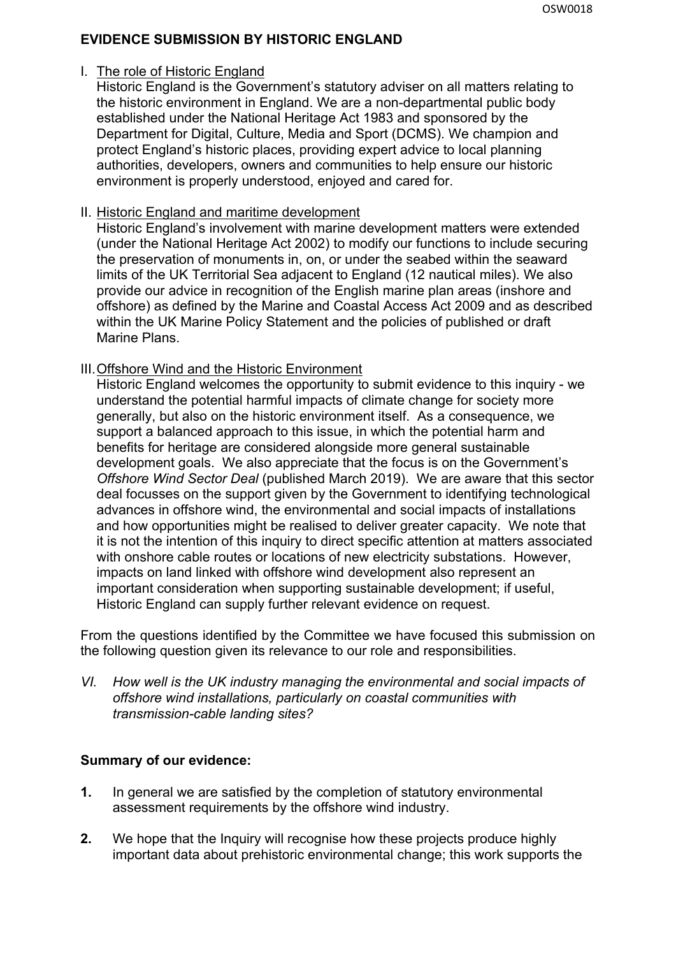## **EVIDENCE SUBMISSION BY HISTORIC ENGLAND**

### I. The role of Historic England

Historic England is the Government's statutory adviser on all matters relating to the historic environment in England. We are a non-departmental public body established under the National Heritage Act 1983 and sponsored by the Department for Digital, Culture, Media and Sport (DCMS). We champion and protect England's historic places, providing expert advice to local planning authorities, developers, owners and communities to help ensure our historic environment is properly understood, enjoyed and cared for.

### II. Historic England and maritime development

Historic England's involvement with marine development matters were extended (under the National Heritage Act 2002) to modify our functions to include securing the preservation of monuments in, on, or under the seabed within the seaward limits of the UK Territorial Sea adjacent to England (12 nautical miles). We also provide our advice in recognition of the English marine plan areas (inshore and offshore) as defined by the Marine and Coastal Access Act 2009 and as described within the UK Marine Policy Statement and the policies of published or draft Marine Plans.

### III.Offshore Wind and the Historic Environment

Historic England welcomes the opportunity to submit evidence to this inquiry - we understand the potential harmful impacts of climate change for society more generally, but also on the historic environment itself. As a consequence, we support a balanced approach to this issue, in which the potential harm and benefits for heritage are considered alongside more general sustainable development goals. We also appreciate that the focus is on the Government's *Offshore Wind Sector Deal* (published March 2019). We are aware that this sector deal focusses on the support given by the Government to identifying technological advances in offshore wind, the environmental and social impacts of installations and how opportunities might be realised to deliver greater capacity. We note that it is not the intention of this inquiry to direct specific attention at matters associated with onshore cable routes or locations of new electricity substations. However, impacts on land linked with offshore wind development also represent an important consideration when supporting sustainable development; if useful, Historic England can supply further relevant evidence on request.

From the questions identified by the Committee we have focused this submission on the following question given its relevance to our role and responsibilities.

*VI. How well is the UK industry managing the environmental and social impacts of offshore wind installations, particularly on coastal communities with transmission-cable landing sites?*

## **Summary of our evidence:**

- **1.** In general we are satisfied by the completion of statutory environmental assessment requirements by the offshore wind industry.
- **2.** We hope that the Inquiry will recognise how these projects produce highly important data about prehistoric environmental change; this work supports the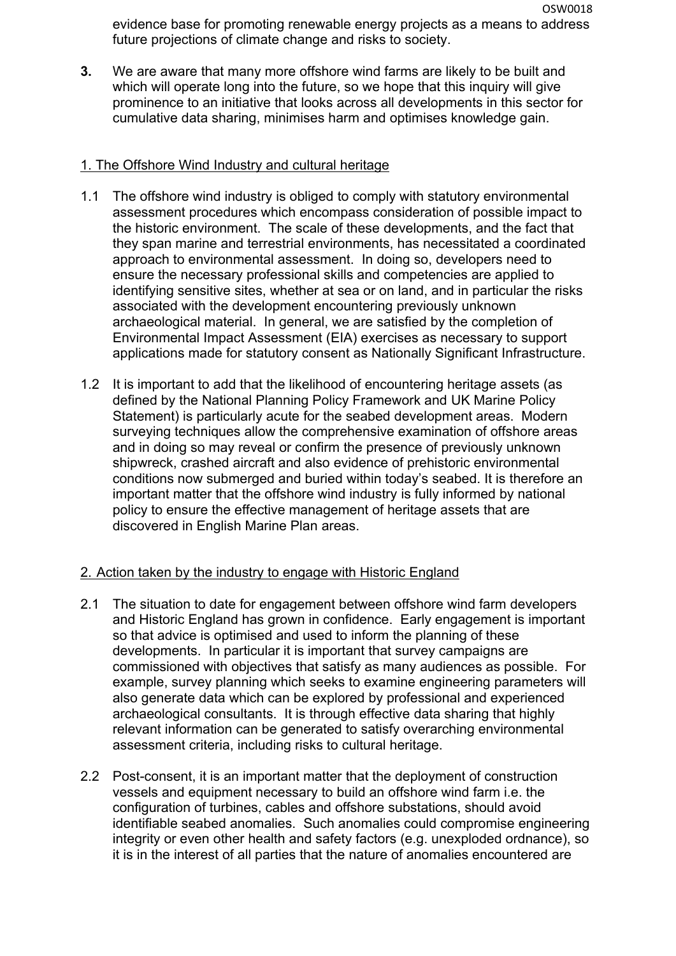OSW0018 evidence base for promoting renewable energy projects as a means to address future projections of climate change and risks to society.

**3.** We are aware that many more offshore wind farms are likely to be built and which will operate long into the future, so we hope that this inquiry will give prominence to an initiative that looks across all developments in this sector for cumulative data sharing, minimises harm and optimises knowledge gain.

## 1. The Offshore Wind Industry and cultural heritage

- 1.1 The offshore wind industry is obliged to comply with statutory environmental assessment procedures which encompass consideration of possible impact to the historic environment. The scale of these developments, and the fact that they span marine and terrestrial environments, has necessitated a coordinated approach to environmental assessment. In doing so, developers need to ensure the necessary professional skills and competencies are applied to identifying sensitive sites, whether at sea or on land, and in particular the risks associated with the development encountering previously unknown archaeological material. In general, we are satisfied by the completion of Environmental Impact Assessment (EIA) exercises as necessary to support applications made for statutory consent as Nationally Significant Infrastructure.
- 1.2 It is important to add that the likelihood of encountering heritage assets (as defined by the National Planning Policy Framework and UK Marine Policy Statement) is particularly acute for the seabed development areas. Modern surveying techniques allow the comprehensive examination of offshore areas and in doing so may reveal or confirm the presence of previously unknown shipwreck, crashed aircraft and also evidence of prehistoric environmental conditions now submerged and buried within today's seabed. It is therefore an important matter that the offshore wind industry is fully informed by national policy to ensure the effective management of heritage assets that are discovered in English Marine Plan areas.

# 2. Action taken by the industry to engage with Historic England

- 2.1 The situation to date for engagement between offshore wind farm developers and Historic England has grown in confidence. Early engagement is important so that advice is optimised and used to inform the planning of these developments. In particular it is important that survey campaigns are commissioned with objectives that satisfy as many audiences as possible. For example, survey planning which seeks to examine engineering parameters will also generate data which can be explored by professional and experienced archaeological consultants. It is through effective data sharing that highly relevant information can be generated to satisfy overarching environmental assessment criteria, including risks to cultural heritage.
- 2.2 Post-consent, it is an important matter that the deployment of construction vessels and equipment necessary to build an offshore wind farm i.e. the configuration of turbines, cables and offshore substations, should avoid identifiable seabed anomalies. Such anomalies could compromise engineering integrity or even other health and safety factors (e.g. unexploded ordnance), so it is in the interest of all parties that the nature of anomalies encountered are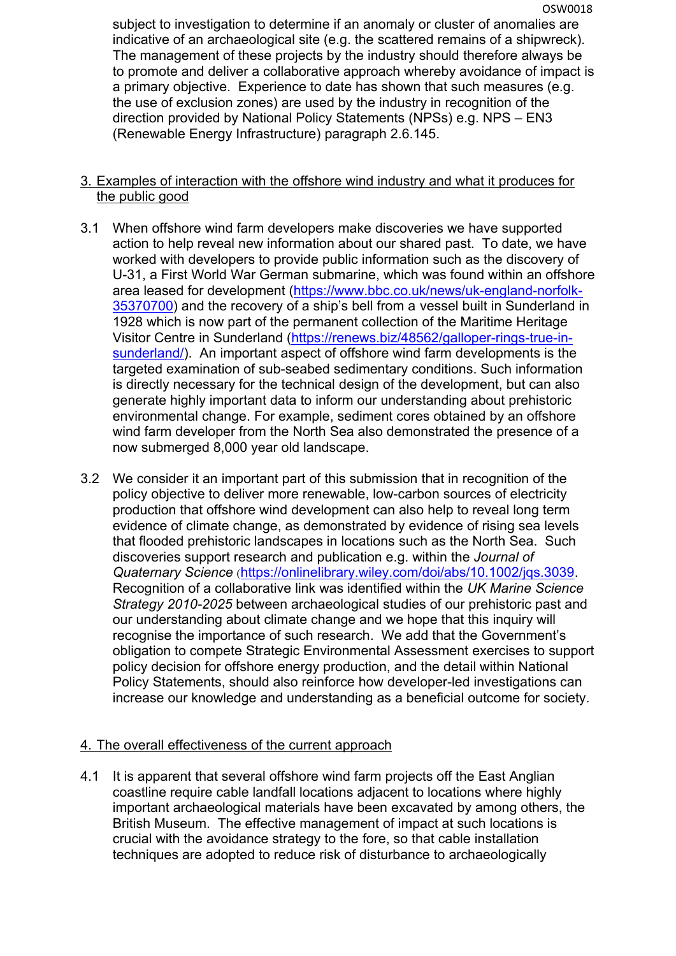subject to investigation to determine if an anomaly or cluster of anomalies are indicative of an archaeological site (e.g. the scattered remains of a shipwreck). The management of these projects by the industry should therefore always be to promote and deliver a collaborative approach whereby avoidance of impact is a primary objective. Experience to date has shown that such measures (e.g. the use of exclusion zones) are used by the industry in recognition of the direction provided by National Policy Statements (NPSs) e.g. NPS – EN3 (Renewable Energy Infrastructure) paragraph 2.6.145.

## 3. Examples of interaction with the offshore wind industry and what it produces for the public good

- 3.1 When offshore wind farm developers make discoveries we have supported action to help reveal new information about our shared past. To date, we have worked with developers to provide public information such as the discovery of U-31, a First World War German submarine, which was found within an offshore area leased for development ([https://www.bbc.co.uk/news/uk-england-norfolk-](https://www.bbc.co.uk/news/uk-england-norfolk-35370700)[35370700\)](https://www.bbc.co.uk/news/uk-england-norfolk-35370700) and the recovery of a ship's bell from a vessel built in Sunderland in 1928 which is now part of the permanent collection of the Maritime Heritage Visitor Centre in Sunderland ([https://renews.biz/48562/galloper-rings-true-in](https://renews.biz/48562/galloper-rings-true-in-sunderland/)[sunderland/\)](https://renews.biz/48562/galloper-rings-true-in-sunderland/). An important aspect of offshore wind farm developments is the targeted examination of sub-seabed sedimentary conditions. Such information is directly necessary for the technical design of the development, but can also generate highly important data to inform our understanding about prehistoric environmental change. For example, sediment cores obtained by an offshore wind farm developer from the North Sea also demonstrated the presence of a now submerged 8,000 year old landscape.
- 3.2 We consider it an important part of this submission that in recognition of the policy objective to deliver more renewable, low-carbon sources of electricity production that offshore wind development can also help to reveal long term evidence of climate change, as demonstrated by evidence of rising sea levels that flooded prehistoric landscapes in locations such as the North Sea. Such discoveries support research and publication e.g. within the *Journal of Quaternary Science* (<https://onlinelibrary.wiley.com/doi/abs/10.1002/jqs.3039>. Recognition of a collaborative link was identified within the *UK Marine Science Strategy 2010-2025* between archaeological studies of our prehistoric past and our understanding about climate change and we hope that this inquiry will recognise the importance of such research. We add that the Government's obligation to compete Strategic Environmental Assessment exercises to support policy decision for offshore energy production, and the detail within National Policy Statements, should also reinforce how developer-led investigations can increase our knowledge and understanding as a beneficial outcome for society.

## 4. The overall effectiveness of the current approach

4.1 It is apparent that several offshore wind farm projects off the East Anglian coastline require cable landfall locations adjacent to locations where highly important archaeological materials have been excavated by among others, the British Museum. The effective management of impact at such locations is crucial with the avoidance strategy to the fore, so that cable installation techniques are adopted to reduce risk of disturbance to archaeologically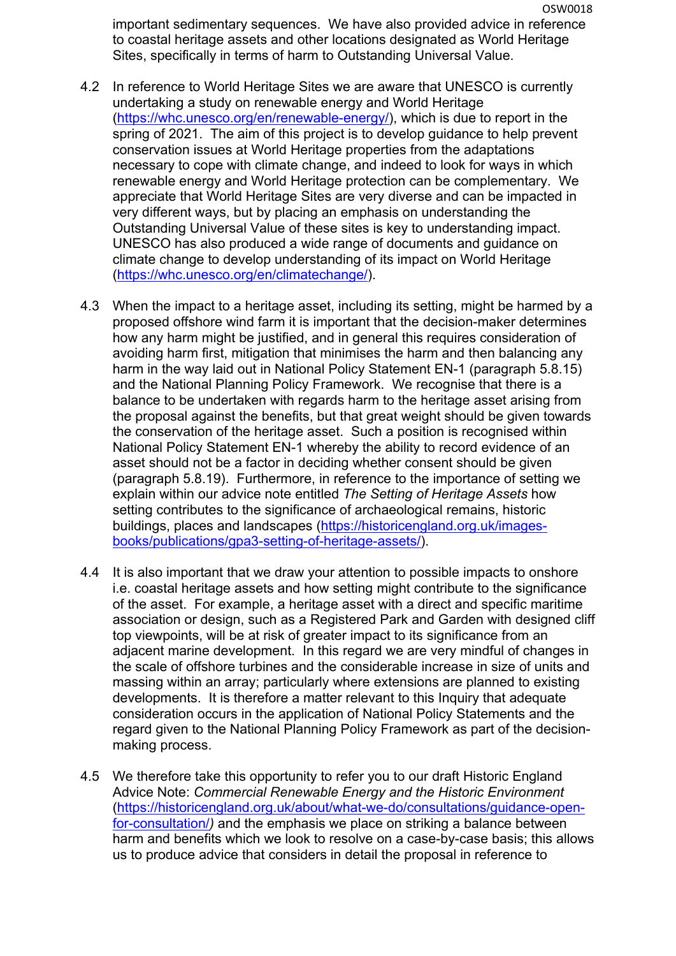important sedimentary sequences. We have also provided advice in reference to coastal heritage assets and other locations designated as World Heritage Sites, specifically in terms of harm to Outstanding Universal Value.

- 4.2 In reference to World Heritage Sites we are aware that UNESCO is currently undertaking a study on renewable energy and World Heritage [\(https://whc.unesco.org/en/renewable-energy/\)](https://whc.unesco.org/en/renewable-energy/), which is due to report in the spring of 2021. The aim of this project is to develop guidance to help prevent conservation issues at World Heritage properties from the adaptations necessary to cope with climate change, and indeed to look for ways in which renewable energy and World Heritage protection can be complementary. We appreciate that World Heritage Sites are very diverse and can be impacted in very different ways, but by placing an emphasis on understanding the Outstanding Universal Value of these sites is key to understanding impact. UNESCO has also produced a wide range of documents and guidance on climate change to develop understanding of its impact on World Heritage [\(https://whc.unesco.org/en/climatechange/\)](https://whc.unesco.org/en/climatechange/).
- 4.3 When the impact to a heritage asset, including its setting, might be harmed by a proposed offshore wind farm it is important that the decision-maker determines how any harm might be justified, and in general this requires consideration of avoiding harm first, mitigation that minimises the harm and then balancing any harm in the way laid out in National Policy Statement EN-1 (paragraph 5.8.15) and the National Planning Policy Framework. We recognise that there is a balance to be undertaken with regards harm to the heritage asset arising from the proposal against the benefits, but that great weight should be given towards the conservation of the heritage asset. Such a position is recognised within National Policy Statement EN-1 whereby the ability to record evidence of an asset should not be a factor in deciding whether consent should be given (paragraph 5.8.19). Furthermore, in reference to the importance of setting we explain within our advice note entitled *The Setting of Heritage Assets* how setting contributes to the significance of archaeological remains, historic buildings, places and landscapes ([https://historicengland.org.uk/images](https://historicengland.org.uk/images-books/publications/gpa3-setting-of-heritage-assets/)[books/publications/gpa3-setting-of-heritage-assets/\)](https://historicengland.org.uk/images-books/publications/gpa3-setting-of-heritage-assets/).
- 4.4 It is also important that we draw your attention to possible impacts to onshore i.e. coastal heritage assets and how setting might contribute to the significance of the asset. For example, a heritage asset with a direct and specific maritime association or design, such as a Registered Park and Garden with designed cliff top viewpoints, will be at risk of greater impact to its significance from an adjacent marine development. In this regard we are very mindful of changes in the scale of offshore turbines and the considerable increase in size of units and massing within an array; particularly where extensions are planned to existing developments. It is therefore a matter relevant to this Inquiry that adequate consideration occurs in the application of National Policy Statements and the regard given to the National Planning Policy Framework as part of the decisionmaking process.
- 4.5 We therefore take this opportunity to refer you to our draft Historic England Advice Note: *Commercial Renewable Energy and the Historic Environment* [\(https://historicengland.org.uk/about/what-we-do/consultations/guidance-open](https://historicengland.org.uk/about/what-we-do/consultations/guidance-open-for-consultation/)[for-consultation/](https://historicengland.org.uk/about/what-we-do/consultations/guidance-open-for-consultation/)*)* and the emphasis we place on striking a balance between harm and benefits which we look to resolve on a case-by-case basis; this allows us to produce advice that considers in detail the proposal in reference to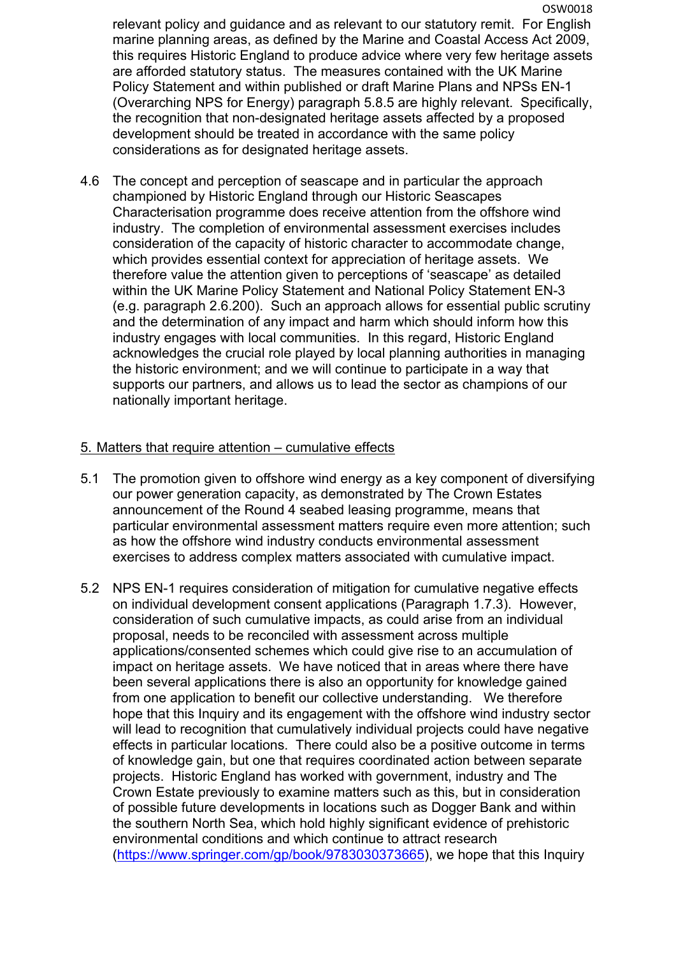OSW0018 relevant policy and guidance and as relevant to our statutory remit. For English marine planning areas, as defined by the Marine and Coastal Access Act 2009, this requires Historic England to produce advice where very few heritage assets are afforded statutory status. The measures contained with the UK Marine Policy Statement and within published or draft Marine Plans and NPSs EN-1 (Overarching NPS for Energy) paragraph 5.8.5 are highly relevant. Specifically, the recognition that non-designated heritage assets affected by a proposed development should be treated in accordance with the same policy considerations as for designated heritage assets.

4.6 The concept and perception of seascape and in particular the approach championed by Historic England through our Historic Seascapes Characterisation programme does receive attention from the offshore wind industry. The completion of environmental assessment exercises includes consideration of the capacity of historic character to accommodate change, which provides essential context for appreciation of heritage assets. We therefore value the attention given to perceptions of 'seascape' as detailed within the UK Marine Policy Statement and National Policy Statement EN-3 (e.g. paragraph 2.6.200). Such an approach allows for essential public scrutiny and the determination of any impact and harm which should inform how this industry engages with local communities. In this regard, Historic England acknowledges the crucial role played by local planning authorities in managing the historic environment; and we will continue to participate in a way that supports our partners, and allows us to lead the sector as champions of our nationally important heritage.

## 5. Matters that require attention – cumulative effects

- 5.1 The promotion given to offshore wind energy as a key component of diversifying our power generation capacity, as demonstrated by The Crown Estates announcement of the Round 4 seabed leasing programme, means that particular environmental assessment matters require even more attention; such as how the offshore wind industry conducts environmental assessment exercises to address complex matters associated with cumulative impact.
- 5.2 NPS EN-1 requires consideration of mitigation for cumulative negative effects on individual development consent applications (Paragraph 1.7.3). However, consideration of such cumulative impacts, as could arise from an individual proposal, needs to be reconciled with assessment across multiple applications/consented schemes which could give rise to an accumulation of impact on heritage assets. We have noticed that in areas where there have been several applications there is also an opportunity for knowledge gained from one application to benefit our collective understanding. We therefore hope that this Inquiry and its engagement with the offshore wind industry sector will lead to recognition that cumulatively individual projects could have negative effects in particular locations. There could also be a positive outcome in terms of knowledge gain, but one that requires coordinated action between separate projects. Historic England has worked with government, industry and The Crown Estate previously to examine matters such as this, but in consideration of possible future developments in locations such as Dogger Bank and within the southern North Sea, which hold highly significant evidence of prehistoric environmental conditions and which continue to attract research [\(https://www.springer.com/gp/book/9783030373665\)](https://www.springer.com/gp/book/9783030373665), we hope that this Inquiry